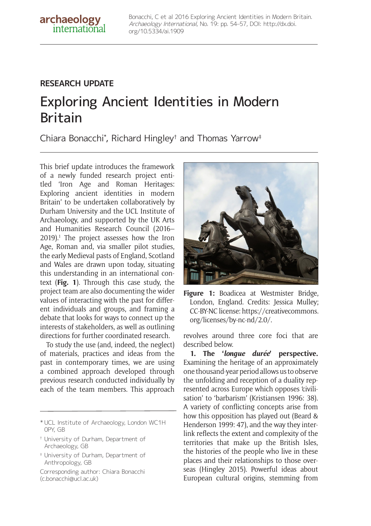# **RESEARCH UPDATE**

archaeology international

# Exploring Ancient Identities in Modern Britain

Chiara Bonacchi\* , Richard Hingley† and Thomas Yarrow‡

This brief update introduces the framework of a newly funded research project entitled 'Iron Age and Roman Heritages: Exploring ancient identities in modern Britain' to be undertaken collaboratively by Durham University and the UCL Institute of Archaeology, and supported by the UK Arts and Humanities Research Council (2016– 2019).1 The project assesses how the Iron Age, Roman and, via smaller pilot studies, the early Medieval pasts of England, Scotland and Wales are drawn upon today, situating this understanding in an international context (**Fig. 1**). Through this case study, the project team are also documenting the wider values of interacting with the past for different individuals and groups, and framing a debate that looks for ways to connect up the interests of stakeholders, as well as outlining directions for further coordinated research.

To study the use (and, indeed, the neglect) of materials, practices and ideas from the past in contemporary times, we are using a combined approach developed through previous research conducted individually by each of the team members. This approach

- † University of Durham, Department of Archaeology, GB
- ‡ University of Durham, Department of Anthropology, GB

Corresponding author: Chiara Bonacchi (c.bonacchi@ucl.ac.uk)



Figure 1: Boadicea at Westmister Bridge, London, England. Credits: Jessica Mulley; CC-BY-NC license: https://creativecommons. org/licenses/by-nc-nd/2.0/.

revolves around three core foci that are described below.

**1. The '***longue durée***' perspective.** Examining the heritage of an approximately one thousand-year period allows us to observe the unfolding and reception of a duality represented across Europe which opposes 'civilisation' to 'barbarism' (Kristiansen 1996: 38). A variety of conflicting concepts arise from how this opposition has played out (Beard & Henderson 1999: 47), and the way they interlink reflects the extent and complexity of the territories that make up the British Isles, the histories of the people who live in these places and their relationships to those overseas (Hingley 2015). Powerful ideas about European cultural origins, stemming from

<sup>\*</sup> UCL Institute of Archaeology, London WC1H 0PY, GB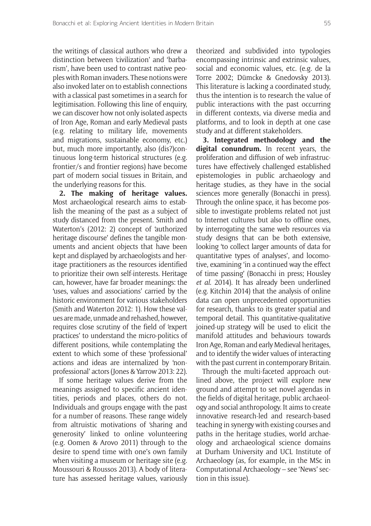the writings of classical authors who drew a distinction between 'civilization' and 'barbarism', have been used to contrast native peoples with Roman invaders. These notions were also invoked later on to establish connections with a classical past sometimes in a search for legitimisation. Following this line of enquiry, we can discover how not only isolated aspects of Iron Age, Roman and early Medieval pasts (e.g. relating to military life, movements and migrations, sustainable economy, etc.) but, much more importantly, also (dis?)continuous long-term historical structures (e.g. frontier/s and frontier regions) have become part of modern social tissues in Britain, and the underlying reasons for this.

**2. The making of heritage values.** Most archaeological research aims to establish the meaning of the past as a subject of study distanced from the present. Smith and Waterton's (2012: 2) concept of 'authorized heritage discourse' defines the tangible monuments and ancient objects that have been kept and displayed by archaeologists and heritage practitioners as the resources identified to prioritize their own self-interests. Heritage can, however, have far broader meanings: the 'uses, values and associations' carried by the historic environment for various stakeholders (Smith and Waterton 2012: 1). How these values are made, unmade and rehashed, however, requires close scrutiny of the field of 'expert practices' to understand the micro-politics of different positions, while contemplating the extent to which some of these 'professional' actions and ideas are internalized by 'nonprofessional' actors (Jones & Yarrow 2013: 22).

If some heritage values derive from the meanings assigned to specific ancient identities, periods and places, others do not. Individuals and groups engage with the past for a number of reasons. These range widely from altruistic motivations of 'sharing and generosity' linked to online volunteering (e.g. Oomen & Arovo 2011) through to the desire to spend time with one's own family when visiting a museum or heritage site (e.g. Moussouri & Roussos 2013). A body of literature has assessed heritage values, variously theorized and subdivided into typologies encompassing intrinsic and extrinsic values, social and economic values, etc. (e.g. de la Torre 2002; Dümcke & Gnedovsky 2013). This literature is lacking a coordinated study, thus the intention is to research the value of public interactions with the past occurring in different contexts, via diverse media and platforms, and to look in depth at one case study and at different stakeholders.

**3. Integrated methodology and the digital conundrum.** In recent years, the proliferation and diffusion of web infrastructures have effectively challenged established epistemologies in public archaeology and heritage studies, as they have in the social sciences more generally (Bonacchi in press). Through the online space, it has become possible to investigate problems related not just to Internet cultures but also to offline ones, by interrogating the same web resources via study designs that can be both extensive, looking 'to collect larger amounts of data for quantitative types of analyses', and locomotive, examining 'in a continued way the effect of time passing' (Bonacchi in press; Housley *et al.* 2014). It has already been underlined (e.g. Kitchin 2014) that the analysis of online data can open unprecedented opportunities for research, thanks to its greater spatial and temporal detail. This quantitative-qualitative joined-up strategy will be used to elicit the manifold attitudes and behaviours towards Iron Age, Roman and early Medieval heritages, and to identify the wider values of interacting with the past current in contemporary Britain.

Through the multi-faceted approach outlined above, the project will explore new ground and attempt to set novel agendas in the fields of digital heritage, public archaeology and social anthropology. It aims to create innovative research-led and research-based teaching in synergy with existing courses and paths in the heritage studies, world archaeology and archaeological science domains at Durham University and UCL Institute of Archaeology (as, for example, in the MSc in Computational Archaeology – see 'News' section in this issue).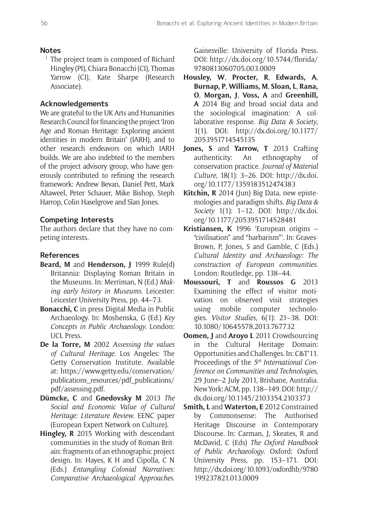### **Notes**

<sup>1</sup> The project team is composed of Richard Hingley (PI), Chiara Bonacchi (CI), Thomas Yarrow (CI), Kate Sharpe (Research Associate).

## **Acknowledgements**

We are grateful to the UK Arts and Humanities Research Council for financing the project 'Iron Age and Roman Heritage: Exploring ancient identities in modern Britain' (IARH), and to other research endeavors on which IARH builds. We are also indebted to the members of the project advisory group, who have generously contributed to refining the research framework: Andrew Bevan, Daniel Pett, Mark Altaweel, Peter Schauer, Mike Bishop, Steph Harrop, Colin Haselgrove and Sîan Jones.

#### **Competing Interests**

The authors declare that they have no competing interests.

#### **References**

- **Beard, M** and **Henderson, J** 1999 Rule(d) Britannia: Displaying Roman Britain in the Museums. In: Merriman, N (Ed.) *Making early history in Museums*. Leicester: Leicester University Press, pp. 44–73.
- **Bonacchi, C** in press Digital Media in Public Archaeology. In: Moshenska, G (Ed.) *Key Concepts in Public Archaeology*. London: UCL Press.
- **De la Torre, M** 2002 *Assessing the values of Cultural Heritage*. Los Angeles: The Getty Conservation Institute. Available at: https://www.getty.edu/conservation/ publications\_resources/pdf\_publications/ pdf/assessing.pdf.
- **Dümcke, C** and **Gnedovsky M** 2013 *The Social and Economic Value of Cultural Heritage: Literature Review*. EENC paper (European Expert Network on Culture).
- **Hingley, R** 2015 Working with descendant communities in the study of Roman Britain: fragments of an ethnographic project design. In: Hayes, K H and Cipolla, C N (Eds.) *Entangling Colonial Narratives: Comparative Archaeological Approaches*.

Gainesville: University of Florida Press. DOI: http://dx.doi.org/10.5744/florida/ 9780813060705.003.0009

- **Housley, W**, **Procter, R**, **Edwards, A**, **Burnap, P**, **Williams, M**, **Sloan, L**, **Rana, O**, **Morgan, J**, **Voss, A** and **Greenhill, A** 2014 Big and broad social data and the sociological imagination: A collaborative response. *Big Data & Society*, 1(1). DOI: http://dx.doi.org/10.1177/ 2053951714545135
- **Jones, S** and **Yarrow, T** 2013 Crafting authenticity: An ethnography of conservation practice. *Journal of Material Culture*, 18(1): 3–26. DOI: http://dx.doi. org/10.1177/1359183512474383
- Kitchin, R 2014 (Jun) Big Data, new epistemologies and paradigm shifts. *Big Data & Society* 1(1): 1–12. DOI: http://dx.doi. org/10.1177/2053951714528481
- **Kristiansen, K** 1996 'European origins "civilisation" and "barbarism"'. In: Graves-Brown, P, Jones, S and Gamble, C (Eds.) *Cultural Identity and Archaeology: The construction of European communities*. London: Routledge, pp. 138–44.
- **Moussouri, T** and **Roussos G** 2013 Examining the effect of visitor motivation on observed visit strategies using mobile computer technologies. *Visitor Studies*, 6(1): 21–38. DOI: 10.1080/10645578.2013.767732
- **Oomen, J** and **Aroyo L** 2011 Crowdsourcing in the Cultural Heritage Domain: Opportunities and Challenges. In: C&T'11. Proceedings of the *5th International Conference on Communities and Technologies*, 29 June–2 July 2011, Brisbane, Australia. New York: ACM, pp. 138–149. DOI: http:// dx.doi.org/10.1145/2103354.2103373
- **Smith, L** and **Waterton, E** 2012 Constrained by Commonsense: The Authorised Heritage Discourse in Contemporary Discourse. In: Carman, J, Skeates, R and McDavid, C (Eds) *The Oxford Handbook of Public Archaeology*. Oxford: Oxford University Press, pp. 153–171. DOI: http://dx.doi.org/10.1093/oxfordhb/9780 199237821.013.0009